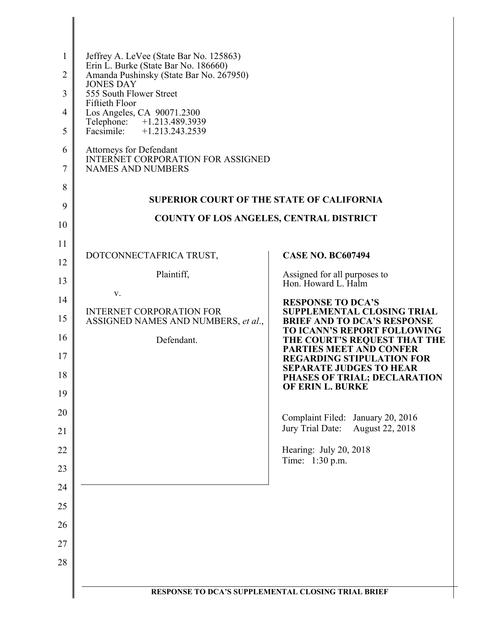| $\mathbf{1}$<br>$\overline{2}$<br>3<br>$\overline{4}$ | Jeffrey A. LeVee (State Bar No. 125863)<br>Erin L. Burke (State Bar No. 186660)<br>Amanda Pushinsky (State Bar No. 267950)<br><b>JONES DAY</b><br>555 South Flower Street<br>Fiftieth Floor<br>Los Angeles, CA 90071.2300<br>Telephone: +1.213.489.3939 |                                                                                    |
|-------------------------------------------------------|---------------------------------------------------------------------------------------------------------------------------------------------------------------------------------------------------------------------------------------------------------|------------------------------------------------------------------------------------|
| 5                                                     | Facsimile: +1.213.243.2539                                                                                                                                                                                                                              |                                                                                    |
| 6<br>7                                                | Attorneys for Defendant<br><b>INTERNET CORPORATION FOR ASSIGNED</b><br><b>NAMES AND NUMBERS</b>                                                                                                                                                         |                                                                                    |
| 8                                                     |                                                                                                                                                                                                                                                         |                                                                                    |
| 9                                                     | <b>SUPERIOR COURT OF THE STATE OF CALIFORNIA</b>                                                                                                                                                                                                        |                                                                                    |
| 10                                                    | <b>COUNTY OF LOS ANGELES, CENTRAL DISTRICT</b>                                                                                                                                                                                                          |                                                                                    |
| 11                                                    | DOTCONNECTAFRICA TRUST,                                                                                                                                                                                                                                 | <b>CASE NO. BC607494</b>                                                           |
| 12                                                    |                                                                                                                                                                                                                                                         |                                                                                    |
| 13                                                    | Plaintiff,                                                                                                                                                                                                                                              | Assigned for all purposes to<br>Hon. Howard L. Halm                                |
| 14                                                    | V.                                                                                                                                                                                                                                                      | <b>RESPONSE TO DCA'S</b>                                                           |
| 15                                                    | <b>INTERNET CORPORATION FOR</b><br>ASSIGNED NAMES AND NUMBERS, et al.,                                                                                                                                                                                  | SUPPLEMENTAL CLOSING TRIAL<br><b>BRIEF AND TO DCA'S RESPONSE</b>                   |
| 16                                                    | Defendant.                                                                                                                                                                                                                                              | TO ICANN'S REPORT FOLLOWING<br>THE COURT'S REQUEST THAT THE                        |
| 17                                                    |                                                                                                                                                                                                                                                         | <b>PARTIES MEET AND CONFER</b><br><b>REGARDING STIPULATION FOR</b>                 |
| 18                                                    |                                                                                                                                                                                                                                                         | <b>SEPARATE JUDGES TO HEAR</b><br>PHASES OF TRIAL; DECLARATION<br>OF ERIN L. BURKE |
| 19                                                    |                                                                                                                                                                                                                                                         |                                                                                    |
| 20<br>21                                              |                                                                                                                                                                                                                                                         | Complaint Filed: January 20, 2016<br>August 22, 2018<br>Jury Trial Date:           |
| 22                                                    |                                                                                                                                                                                                                                                         | Hearing: July 20, 2018                                                             |
| 23                                                    |                                                                                                                                                                                                                                                         | Time: 1:30 p.m.                                                                    |
| 24                                                    |                                                                                                                                                                                                                                                         |                                                                                    |
| 25                                                    |                                                                                                                                                                                                                                                         |                                                                                    |
|                                                       |                                                                                                                                                                                                                                                         |                                                                                    |
| 26                                                    |                                                                                                                                                                                                                                                         |                                                                                    |
| 27                                                    |                                                                                                                                                                                                                                                         |                                                                                    |
| 28                                                    |                                                                                                                                                                                                                                                         |                                                                                    |
|                                                       | RESPONSE TO DCA'S SUPPLEMENTAL CLOSING TRIAL BRIEF                                                                                                                                                                                                      |                                                                                    |
|                                                       |                                                                                                                                                                                                                                                         |                                                                                    |

 $\parallel$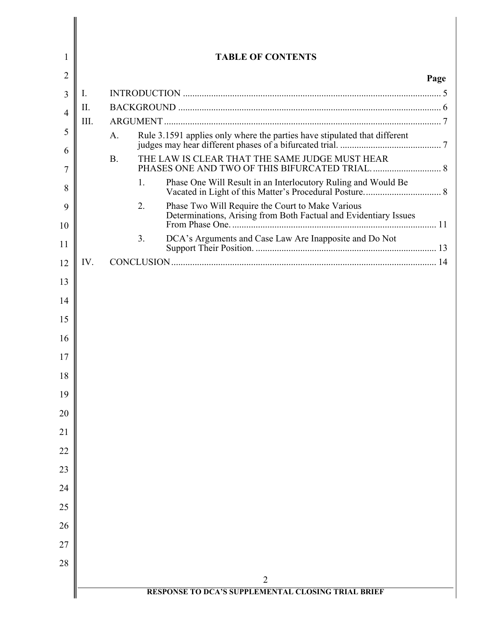| 1              |      |           |    | <b>TABLE OF CONTENTS</b>                                                                                             |      |
|----------------|------|-----------|----|----------------------------------------------------------------------------------------------------------------------|------|
| 2              |      |           |    |                                                                                                                      | Page |
| 3              | Ι.   |           |    |                                                                                                                      |      |
| $\overline{4}$ | II.  |           |    |                                                                                                                      |      |
| 5              | III. |           |    |                                                                                                                      |      |
| 6              |      | A.        |    | Rule 3.1591 applies only where the parties have stipulated that different                                            |      |
| 7              |      | <b>B.</b> |    | THE LAW IS CLEAR THAT THE SAME JUDGE MUST HEAR                                                                       |      |
| 8              |      |           | 1. | Phase One Will Result in an Interlocutory Ruling and Would Be                                                        |      |
| 9              |      |           | 2. | Phase Two Will Require the Court to Make Various<br>Determinations, Arising from Both Factual and Evidentiary Issues |      |
| 10             |      |           |    |                                                                                                                      |      |
| 11             |      |           | 3. | DCA's Arguments and Case Law Are Inapposite and Do Not                                                               |      |
| 12             | IV.  |           |    |                                                                                                                      |      |
| 13             |      |           |    |                                                                                                                      |      |
| 14             |      |           |    |                                                                                                                      |      |
| 15             |      |           |    |                                                                                                                      |      |
| 16             |      |           |    |                                                                                                                      |      |
| 17             |      |           |    |                                                                                                                      |      |
| 18             |      |           |    |                                                                                                                      |      |
| 19             |      |           |    |                                                                                                                      |      |
| 20             |      |           |    |                                                                                                                      |      |
| 21             |      |           |    |                                                                                                                      |      |
| 22<br>23       |      |           |    |                                                                                                                      |      |
| 24             |      |           |    |                                                                                                                      |      |
| 25             |      |           |    |                                                                                                                      |      |
| 26             |      |           |    |                                                                                                                      |      |
| 27             |      |           |    |                                                                                                                      |      |
| 28             |      |           |    |                                                                                                                      |      |
|                |      |           |    | 2                                                                                                                    |      |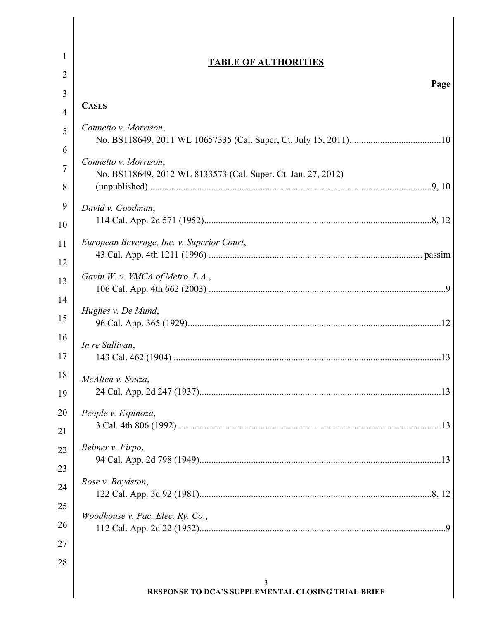| 1  | <b>TABLE OF AUTHORITIES</b>                                                            |
|----|----------------------------------------------------------------------------------------|
| 2  | Page                                                                                   |
| 3  |                                                                                        |
| 4  | <b>CASES</b>                                                                           |
| 5  | Connetto v. Morrison,                                                                  |
| 6  |                                                                                        |
| 7  | Connetto v. Morrison,<br>No. BS118649, 2012 WL 8133573 (Cal. Super. Ct. Jan. 27, 2012) |
| 8  |                                                                                        |
| 9  | David v. Goodman,                                                                      |
| 10 |                                                                                        |
| 11 | European Beverage, Inc. v. Superior Court,                                             |
| 12 |                                                                                        |
| 13 | Gavin W. v. YMCA of Metro. L.A.,                                                       |
| 14 | Hughes v. De Mund,                                                                     |
| 15 |                                                                                        |
| 16 | In re Sullivan,                                                                        |
| 17 |                                                                                        |
| 18 | McAllen v. Souza,                                                                      |
| 19 |                                                                                        |
| 20 | People v. Espinoza,                                                                    |
| 21 |                                                                                        |
| 22 | Reimer v. Firpo,                                                                       |
| 23 | Rose v. Boydston,                                                                      |
| 24 |                                                                                        |
| 25 | Woodhouse v. Pac. Elec. Ry. Co.,                                                       |
| 26 |                                                                                        |
| 27 |                                                                                        |
| 28 |                                                                                        |
|    | 3<br>RESPONSE TO DCA'S SUPPLEMENTAL CLOSING TRIAL BRIEF                                |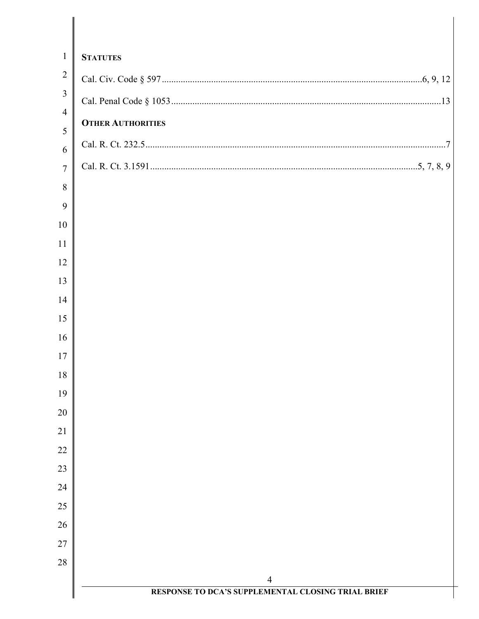| $\mathbf{1}$        | <b>STATUTES</b>                                                      |
|---------------------|----------------------------------------------------------------------|
| $\overline{2}$      |                                                                      |
| $\mathfrak{Z}$      |                                                                      |
| $\overline{4}$      | <b>OTHER AUTHORITIES</b>                                             |
| 5                   |                                                                      |
| 6<br>$\overline{7}$ |                                                                      |
| 8                   |                                                                      |
| 9                   |                                                                      |
| 10                  |                                                                      |
| 11                  |                                                                      |
| 12                  |                                                                      |
| 13                  |                                                                      |
| 14                  |                                                                      |
| 15                  |                                                                      |
| 16                  |                                                                      |
| 17                  |                                                                      |
| 18                  |                                                                      |
| 19                  |                                                                      |
| 20<br>21            |                                                                      |
| 22                  |                                                                      |
| 23                  |                                                                      |
| 24                  |                                                                      |
| 25                  |                                                                      |
| 26                  |                                                                      |
| 27                  |                                                                      |
| 28                  |                                                                      |
|                     | $\overline{4}$<br>RESPONSE TO DCA'S SUPPLEMENTAL CLOSING TRIAL BRIEF |
|                     |                                                                      |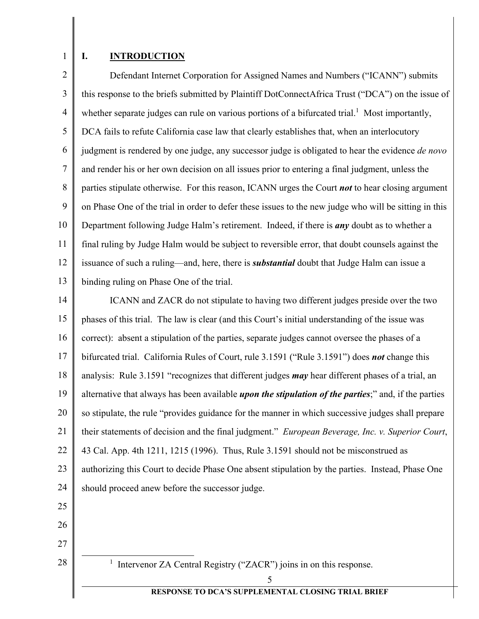1

## **I. INTRODUCTION**

2 3 4 5 6 7 8 9 10 11 12 13 Defendant Internet Corporation for Assigned Names and Numbers ("ICANN") submits this response to the briefs submitted by Plaintiff DotConnectAfrica Trust ("DCA") on the issue of whether separate judges can rule on various portions of a bifurcated trial.<sup>1</sup> Most importantly, DCA fails to refute California case law that clearly establishes that, when an interlocutory judgment is rendered by one judge, any successor judge is obligated to hear the evidence *de novo* and render his or her own decision on all issues prior to entering a final judgment, unless the parties stipulate otherwise. For this reason, ICANN urges the Court *not* to hear closing argument on Phase One of the trial in order to defer these issues to the new judge who will be sitting in this Department following Judge Halm's retirement. Indeed, if there is *any* doubt as to whether a final ruling by Judge Halm would be subject to reversible error, that doubt counsels against the issuance of such a ruling—and, here, there is *substantial* doubt that Judge Halm can issue a binding ruling on Phase One of the trial.

14 15 16 17 18 19 20 21 22 23 24 ICANN and ZACR do not stipulate to having two different judges preside over the two phases of this trial. The law is clear (and this Court's initial understanding of the issue was correct): absent a stipulation of the parties, separate judges cannot oversee the phases of a bifurcated trial. California Rules of Court, rule 3.1591 ("Rule 3.1591") does *not* change this analysis: Rule 3.1591 "recognizes that different judges *may* hear different phases of a trial, an alternative that always has been available *upon the stipulation of the parties*;" and, if the parties so stipulate, the rule "provides guidance for the manner in which successive judges shall prepare their statements of decision and the final judgment." *European Beverage, Inc. v. Superior Court*, 43 Cal. App. 4th 1211, 1215 (1996). Thus, Rule 3.1591 should not be misconstrued as authorizing this Court to decide Phase One absent stipulation by the parties. Instead, Phase One should proceed anew before the successor judge.

25

26

27 28

<u>1</u> <sup>1</sup> Intervenor ZA Central Registry ("ZACR") joins in on this response.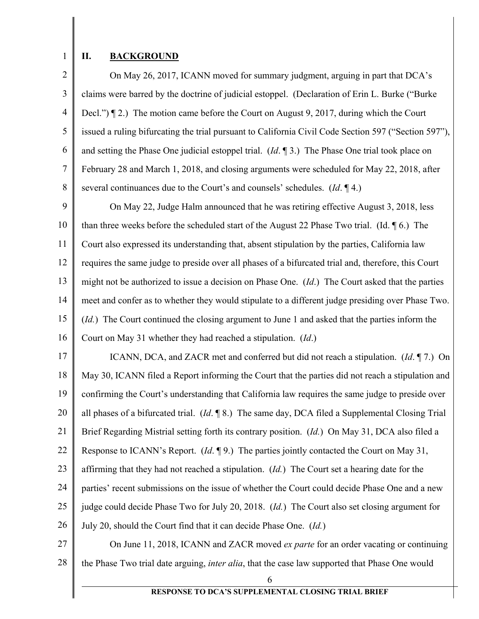1

## **II. BACKGROUND**

2 3 4 5 6 7 8 On May 26, 2017, ICANN moved for summary judgment, arguing in part that DCA's claims were barred by the doctrine of judicial estoppel. (Declaration of Erin L. Burke ("Burke Decl.") ¶ 2.) The motion came before the Court on August 9, 2017, during which the Court issued a ruling bifurcating the trial pursuant to California Civil Code Section 597 ("Section 597"), and setting the Phase One judicial estoppel trial. (*Id*. ¶ 3.) The Phase One trial took place on February 28 and March 1, 2018, and closing arguments were scheduled for May 22, 2018, after several continuances due to the Court's and counsels' schedules. (*Id*. ¶ 4.)

9 10 11 12 13 14 15 16 On May 22, Judge Halm announced that he was retiring effective August 3, 2018, less than three weeks before the scheduled start of the August 22 Phase Two trial. (Id. ¶ 6.) The Court also expressed its understanding that, absent stipulation by the parties, California law requires the same judge to preside over all phases of a bifurcated trial and, therefore, this Court might not be authorized to issue a decision on Phase One. (*Id*.) The Court asked that the parties meet and confer as to whether they would stipulate to a different judge presiding over Phase Two. (*Id.*) The Court continued the closing argument to June 1 and asked that the parties inform the Court on May 31 whether they had reached a stipulation. (*Id*.)

17 18 19 20 21 22 23 24 25 26 ICANN, DCA, and ZACR met and conferred but did not reach a stipulation.(*Id*. ¶ 7.) On May 30, ICANN filed a Report informing the Court that the parties did not reach a stipulation and confirming the Court's understanding that California law requires the same judge to preside over all phases of a bifurcated trial. (*Id*. ¶ 8.) The same day, DCA filed a Supplemental Closing Trial Brief Regarding Mistrial setting forth its contrary position. (*Id.*) On May 31, DCA also filed a Response to ICANN's Report. (*Id*. ¶ 9.) The parties jointly contacted the Court on May 31, affirming that they had not reached a stipulation. (*Id.*) The Court set a hearing date for the parties' recent submissions on the issue of whether the Court could decide Phase One and a new judge could decide Phase Two for July 20, 2018. (*Id.*) The Court also set closing argument for July 20, should the Court find that it can decide Phase One. (*Id.*)

27

28 On June 11, 2018, ICANN and ZACR moved *ex parte* for an order vacating or continuing the Phase Two trial date arguing, *inter alia*, that the case law supported that Phase One would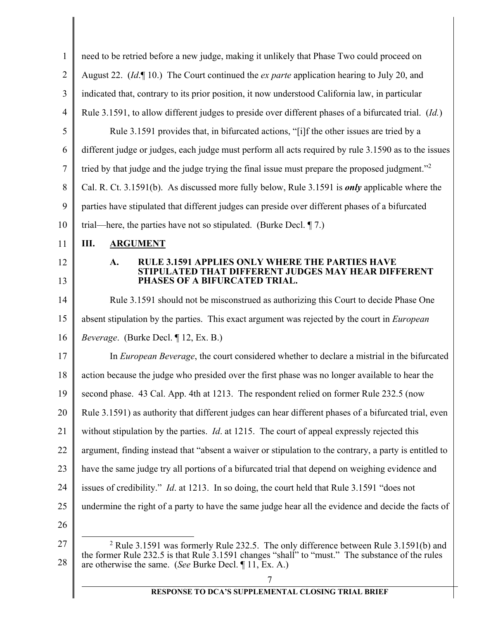| $\mathbf{1}$   | need to be retried before a new judge, making it unlikely that Phase Two could proceed on                                                                 |
|----------------|-----------------------------------------------------------------------------------------------------------------------------------------------------------|
| $\overline{2}$ | August 22. ( <i>Id.</i> 10.) The Court continued the <i>ex parte</i> application hearing to July 20, and                                                  |
| 3              | indicated that, contrary to its prior position, it now understood California law, in particular                                                           |
| $\overline{4}$ | Rule 3.1591, to allow different judges to preside over different phases of a bifurcated trial. (Id.)                                                      |
| 5              | Rule 3.1591 provides that, in bifurcated actions, "[i]f the other issues are tried by a                                                                   |
| 6              | different judge or judges, each judge must perform all acts required by rule 3.1590 as to the issues                                                      |
| 7              | tried by that judge and the judge trying the final issue must prepare the proposed judgment." <sup>2</sup>                                                |
| 8              | Cal. R. Ct. 3.1591(b). As discussed more fully below, Rule 3.1591 is <i>only</i> applicable where the                                                     |
| 9              | parties have stipulated that different judges can preside over different phases of a bifurcated                                                           |
| 10             | trial—here, the parties have not so stipulated. (Burke Decl. $\P$ 7.)                                                                                     |
| 11             | Ш.<br><b>ARGUMENT</b>                                                                                                                                     |
| 12             | ULE 3.1591 APPLIES ONLY WHERE THE PARTIES HAVE<br>A.                                                                                                      |
| 13             | D THAT DIFFERENT JUDGES MAY HEAR DIFFERENT<br>PHASES OF A BIFURCATED TRIAL.                                                                               |
| 14             | Rule 3.1591 should not be misconstrued as authorizing this Court to decide Phase One                                                                      |
| 15             | absent stipulation by the parties. This exact argument was rejected by the court in <i>European</i>                                                       |
| 16             | Beverage. (Burke Decl. ¶ 12, Ex. B.)                                                                                                                      |
| 17             | In <i>European Beverage</i> , the court considered whether to declare a mistrial in the bifurcated                                                        |
| 18             | action because the judge who presided over the first phase was no longer available to hear the                                                            |
| 19             | second phase. 43 Cal. App. 4th at 1213. The respondent relied on former Rule 232.5 (now                                                                   |
| 20             | Rule 3.1591) as authority that different judges can hear different phases of a bifurcated trial, even                                                     |
| 21             | without stipulation by the parties. <i>Id.</i> at 1215. The court of appeal expressly rejected this                                                       |
| 22             | argument, finding instead that "absent a waiver or stipulation to the contrary, a party is entitled to                                                    |
| 23             | have the same judge try all portions of a bifurcated trial that depend on weighing evidence and                                                           |
| 24             | issues of credibility." <i>Id.</i> at 1213. In so doing, the court held that Rule 3.1591 "does not                                                        |
| 25             | undermine the right of a party to have the same judge hear all the evidence and decide the facts of                                                       |
| 26             |                                                                                                                                                           |
| 27             | <sup>2</sup> Rule 3.1591 was formerly Rule 232.5. The only difference between Rule 3.1591(b) and                                                          |
| 28             | the former Rule 232.5 is that Rule 3.1591 changes "shall" to "must." The substance of the rules<br>are otherwise the same. (See Burke Decl. ¶ 11, Ex. A.) |
|                | $\tau$                                                                                                                                                    |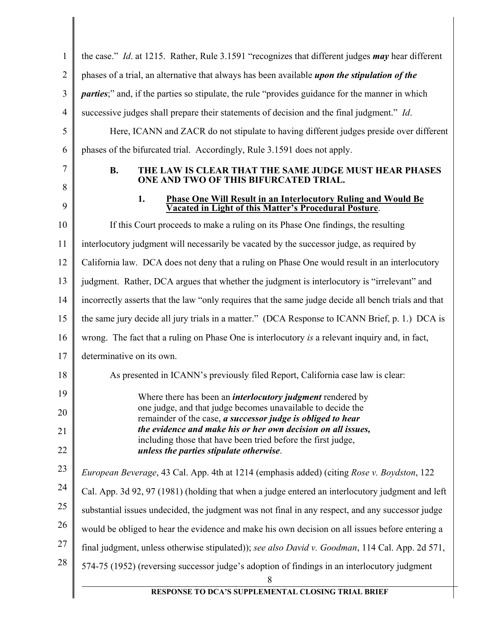| $\mathbf{1}$   | the case." Id. at 1215. Rather, Rule 3.1591 "recognizes that different judges <i>may</i> hear different                      |
|----------------|------------------------------------------------------------------------------------------------------------------------------|
| $\overline{2}$ | phases of a trial, an alternative that always has been available <i>upon the stipulation of the</i>                          |
| 3              | <i>parties</i> ;" and, if the parties so stipulate, the rule "provides guidance for the manner in which                      |
| $\overline{4}$ | successive judges shall prepare their statements of decision and the final judgment." Id.                                    |
| 5              | Here, ICANN and ZACR do not stipulate to having different judges preside over different                                      |
| 6              | phases of the bifurcated trial. Accordingly, Rule 3.1591 does not apply.                                                     |
| 7<br>8         | <b>B.</b><br>THE LAW IS CLEAR THAT THE SAME JUDGE MUST HEAR PHASES<br>ONE AND TWO OF THIS BIFURCATED TRIAL.                  |
| 9              | 1.<br>Phase One Will Result in an Interlocutory Ruling and Would Be<br>Vacated in Light of this Matter's Procedural Posture. |
| 10             | If this Court proceeds to make a ruling on its Phase One findings, the resulting                                             |
| 11             | interlocutory judgment will necessarily be vacated by the successor judge, as required by                                    |
| 12             | California law. DCA does not deny that a ruling on Phase One would result in an interlocutory                                |
| 13             | judgment. Rather, DCA argues that whether the judgment is interlocutory is "irrelevant" and                                  |
| 14             | incorrectly asserts that the law "only requires that the same judge decide all bench trials and that                         |
| 15             | the same jury decide all jury trials in a matter." (DCA Response to ICANN Brief, p. 1.) DCA is                               |
| 16             | wrong. The fact that a ruling on Phase One is interlocutory is a relevant inquiry and, in fact,                              |
| 17             | determinative on its own.                                                                                                    |
| 18             | As presented in ICANN's previously filed Report, California case law is clear:                                               |
| 19             | Where there has been an <i>interlocutory judgment</i> rendered by                                                            |
| 20             | one judge, and that judge becomes unavailable to decide the<br>remainder of the case, a successor judge is obliged to hear   |
| 21             | the evidence and make his or her own decision on all issues,<br>including those that have been tried before the first judge, |
| 22             | unless the parties stipulate otherwise.                                                                                      |
| 23             | European Beverage, 43 Cal. App. 4th at 1214 (emphasis added) (citing Rose v. Boydston, 122                                   |
| 24             | Cal. App. 3d 92, 97 (1981) (holding that when a judge entered an interlocutory judgment and left                             |
| 25             | substantial issues undecided, the judgment was not final in any respect, and any successor judge                             |
| 26             | would be obliged to hear the evidence and make his own decision on all issues before entering a                              |
| 27             | final judgment, unless otherwise stipulated)); see also David v. Goodman, 114 Cal. App. 2d 571,                              |
| 28             | 574-75 (1952) (reversing successor judge's adoption of findings in an interlocutory judgment<br>8                            |
|                | RESPONSE TO DCA'S SUPPLEMENTAL CLOSING TRIAL BRIEF                                                                           |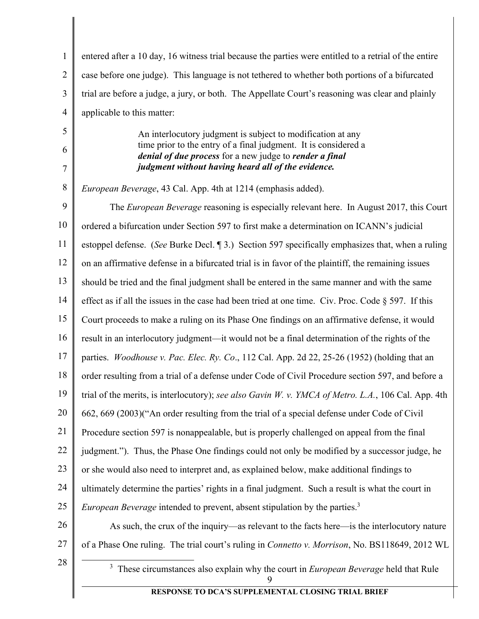| $\mathbf{1}$   | entered after a 10 day, 16 witness trial because the parties were entitled to a retrial of the entire                                                                            |
|----------------|----------------------------------------------------------------------------------------------------------------------------------------------------------------------------------|
| $\overline{2}$ | case before one judge). This language is not tethered to whether both portions of a bifurcated                                                                                   |
| 3              | trial are before a judge, a jury, or both. The Appellate Court's reasoning was clear and plainly                                                                                 |
| 4              | applicable to this matter:                                                                                                                                                       |
| 5              | An interlocutory judgment is subject to modification at any                                                                                                                      |
| 6<br>7         | time prior to the entry of a final judgment. It is considered a<br>denial of due process for a new judge to render a final<br>judgment without having heard all of the evidence. |
| 8              | European Beverage, 43 Cal. App. 4th at 1214 (emphasis added).                                                                                                                    |
| 9              | The <i>European Beverage</i> reasoning is especially relevant here. In August 2017, this Court                                                                                   |
| 10             | ordered a bifurcation under Section 597 to first make a determination on ICANN's judicial                                                                                        |
| 11             | estoppel defense. (See Burke Decl. 13.) Section 597 specifically emphasizes that, when a ruling                                                                                  |
| 12             | on an affirmative defense in a bifurcated trial is in favor of the plaintiff, the remaining issues                                                                               |
| 13             | should be tried and the final judgment shall be entered in the same manner and with the same                                                                                     |
| 14             | effect as if all the issues in the case had been tried at one time. Civ. Proc. Code $\S$ 597. If this                                                                            |
| 15             | Court proceeds to make a ruling on its Phase One findings on an affirmative defense, it would                                                                                    |
| 16             | result in an interlocutory judgment—it would not be a final determination of the rights of the                                                                                   |
| 17             | parties. Woodhouse v. Pac. Elec. Ry. Co., 112 Cal. App. 2d 22, 25-26 (1952) (holding that an                                                                                     |
| 18             | order resulting from a trial of a defense under Code of Civil Procedure section 597, and before a                                                                                |
| 19             | trial of the merits, is interlocutory); see also Gavin W. v. YMCA of Metro. L.A., 106 Cal. App. 4th                                                                              |
| 20             | 662, 669 (2003)("An order resulting from the trial of a special defense under Code of Civil                                                                                      |
| 21             | Procedure section 597 is nonappealable, but is properly challenged on appeal from the final                                                                                      |
| 22             | judgment."). Thus, the Phase One findings could not only be modified by a successor judge, he                                                                                    |
| 23             | or she would also need to interpret and, as explained below, make additional findings to                                                                                         |
| 24             | ultimately determine the parties' rights in a final judgment. Such a result is what the court in                                                                                 |
| 25             | <i>European Beverage</i> intended to prevent, absent stipulation by the parties. <sup>3</sup>                                                                                    |
| 26             | As such, the crux of the inquiry—as relevant to the facts here—is the interlocutory nature                                                                                       |
| 27             | of a Phase One ruling. The trial court's ruling in Connetto v. Morrison, No. BS118649, 2012 WL                                                                                   |
| 28             | These circumstances also explain why the court in European Beverage held that Rule<br>$\mathfrak{Z}$<br>9                                                                        |
|                | RESPONSE TO DCA'S SUPPLEMENTAL CLOSING TRIAL BRIEF                                                                                                                               |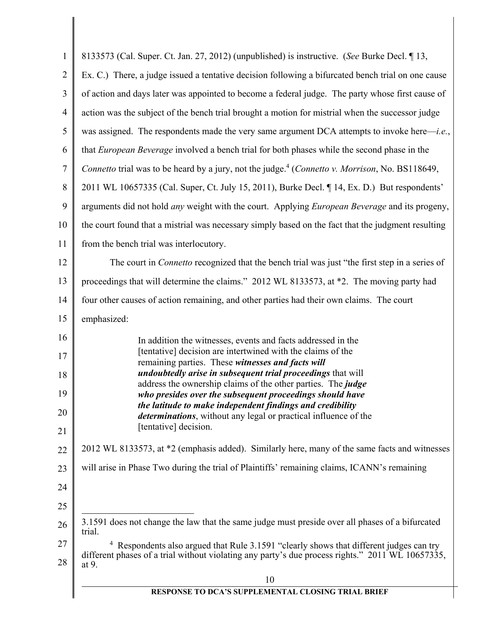| $\mathbf{1}$   | 8133573 (Cal. Super. Ct. Jan. 27, 2012) (unpublished) is instructive. (See Burke Decl. 13,                                                                                                               |
|----------------|----------------------------------------------------------------------------------------------------------------------------------------------------------------------------------------------------------|
| $\overline{2}$ | Ex. C.) There, a judge issued a tentative decision following a bifurcated bench trial on one cause                                                                                                       |
| 3              | of action and days later was appointed to become a federal judge. The party whose first cause of                                                                                                         |
| $\overline{4}$ | action was the subject of the bench trial brought a motion for mistrial when the successor judge                                                                                                         |
| 5              | was assigned. The respondents made the very same argument DCA attempts to invoke here— <i>i.e.</i> ,                                                                                                     |
| 6              | that European Beverage involved a bench trial for both phases while the second phase in the                                                                                                              |
| $\tau$         | Connetto trial was to be heard by a jury, not the judge. <sup>4</sup> (Connetto v. Morrison, No. BS118649,                                                                                               |
| 8              | 2011 WL 10657335 (Cal. Super, Ct. July 15, 2011), Burke Decl. [14, Ex. D.) But respondents'                                                                                                              |
| 9              | arguments did not hold <i>any</i> weight with the court. Applying <i>European Beverage</i> and its progeny,                                                                                              |
| 10             | the court found that a mistrial was necessary simply based on the fact that the judgment resulting                                                                                                       |
| 11             | from the bench trial was interlocutory.                                                                                                                                                                  |
| 12             | The court in <i>Connetto</i> recognized that the bench trial was just "the first step in a series of                                                                                                     |
| 13             | proceedings that will determine the claims." 2012 WL 8133573, at *2. The moving party had                                                                                                                |
| 14             | four other causes of action remaining, and other parties had their own claims. The court                                                                                                                 |
| 15             | emphasized:                                                                                                                                                                                              |
| 16             | In addition the witnesses, events and facts addressed in the                                                                                                                                             |
| 17             | [tentative] decision are intertwined with the claims of the<br>remaining parties. These witnesses and facts will                                                                                         |
| 18             | <i>undoubtedly arise in subsequent trial proceedings that will</i><br>address the ownership claims of the other parties. The judge                                                                       |
| 19             | who presides over the subsequent proceedings should have                                                                                                                                                 |
| 20             | the latitude to make independent findings and credibility<br><i>determinations</i> , without any legal or practical influence of the                                                                     |
| 21             | [tentative] decision.                                                                                                                                                                                    |
| 22             | 2012 WL 8133573, at *2 (emphasis added). Similarly here, many of the same facts and witnesses                                                                                                            |
| 23             | will arise in Phase Two during the trial of Plaintiffs' remaining claims, ICANN's remaining                                                                                                              |
| 24             |                                                                                                                                                                                                          |
| 25             |                                                                                                                                                                                                          |
| 26             | 3.1591 does not change the law that the same judge must preside over all phases of a bifurcated<br>trial.                                                                                                |
| 27<br>28       | $4$ Respondents also argued that Rule 3.1591 "clearly shows that different judges can try<br>different phases of a trial without violating any party's due process rights." 2011 WL 10657335,<br>at $9.$ |
|                | 10                                                                                                                                                                                                       |
|                | RESPONSE TO DCA'S SUPPLEMENTAL CLOSING TRIAL BRIEF                                                                                                                                                       |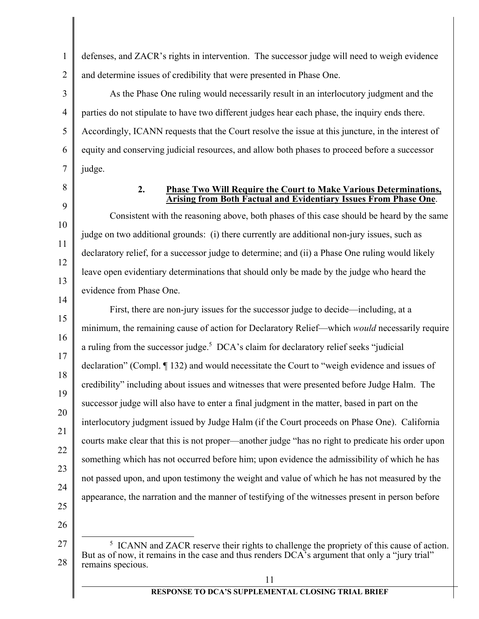1 2 defenses, and ZACR's rights in intervention. The successor judge will need to weigh evidence and determine issues of credibility that were presented in Phase One.

3 4 5 6 7 As the Phase One ruling would necessarily result in an interlocutory judgment and the parties do not stipulate to have two different judges hear each phase, the inquiry ends there. Accordingly, ICANN requests that the Court resolve the issue at this juncture, in the interest of equity and conserving judicial resources, and allow both phases to proceed before a successor judge.

8

9

10

11

12

13

14

## **2. Phase Two Will Require the Court to Make Various Determinations, Arising from Both Factual and Evidentiary Issues From Phase One**.

Consistent with the reasoning above, both phases of this case should be heard by the same judge on two additional grounds: (i) there currently are additional non-jury issues, such as declaratory relief, for a successor judge to determine; and (ii) a Phase One ruling would likely leave open evidentiary determinations that should only be made by the judge who heard the evidence from Phase One.

15 16 17 18 19 20 21 22 23 24 25 First, there are non-jury issues for the successor judge to decide—including, at a minimum, the remaining cause of action for Declaratory Relief—which *would* necessarily require a ruling from the successor judge.<sup>5</sup> DCA's claim for declaratory relief seeks "judicial declaration" (Compl. ¶ 132) and would necessitate the Court to "weigh evidence and issues of credibility" including about issues and witnesses that were presented before Judge Halm. The successor judge will also have to enter a final judgment in the matter, based in part on the interlocutory judgment issued by Judge Halm (if the Court proceeds on Phase One). California courts make clear that this is not proper—another judge "has no right to predicate his order upon something which has not occurred before him; upon evidence the admissibility of which he has not passed upon, and upon testimony the weight and value of which he has not measured by the appearance, the narration and the manner of testifying of the witnesses present in person before

26

<sup>27</sup>  28  $rac{1}{5}$ <sup>5</sup> ICANN and ZACR reserve their rights to challenge the propriety of this cause of action. But as of now, it remains in the case and thus renders DCA's argument that only a "jury trial" remains specious.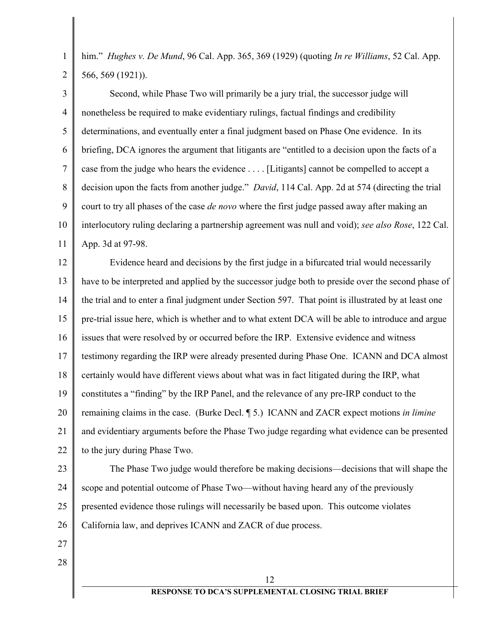him." *Hughes v. De Mund*, 96 Cal. App. 365, 369 (1929) (quoting *In re Williams*, 52 Cal. App. 566, 569 (1921)).

3 4 5 6 7 8 9 10 11 Second, while Phase Two will primarily be a jury trial, the successor judge will nonetheless be required to make evidentiary rulings, factual findings and credibility determinations, and eventually enter a final judgment based on Phase One evidence. In its briefing, DCA ignores the argument that litigants are "entitled to a decision upon the facts of a case from the judge who hears the evidence . . . . [Litigants] cannot be compelled to accept a decision upon the facts from another judge." *David*, 114 Cal. App. 2d at 574 (directing the trial court to try all phases of the case *de novo* where the first judge passed away after making an interlocutory ruling declaring a partnership agreement was null and void); *see also Rose*, 122 Cal. App. 3d at 97-98.

12 13 14 15 16 17 18 19 20 21 22 Evidence heard and decisions by the first judge in a bifurcated trial would necessarily have to be interpreted and applied by the successor judge both to preside over the second phase of the trial and to enter a final judgment under Section 597. That point is illustrated by at least one pre-trial issue here, which is whether and to what extent DCA will be able to introduce and argue issues that were resolved by or occurred before the IRP. Extensive evidence and witness testimony regarding the IRP were already presented during Phase One. ICANN and DCA almost certainly would have different views about what was in fact litigated during the IRP, what constitutes a "finding" by the IRP Panel, and the relevance of any pre-IRP conduct to the remaining claims in the case. (Burke Decl. ¶ 5.) ICANN and ZACR expect motions *in limine* and evidentiary arguments before the Phase Two judge regarding what evidence can be presented to the jury during Phase Two.

23

1

2

24 25 26 The Phase Two judge would therefore be making decisions—decisions that will shape the scope and potential outcome of Phase Two—without having heard any of the previously presented evidence those rulings will necessarily be based upon. This outcome violates California law, and deprives ICANN and ZACR of due process.

- 27
- 28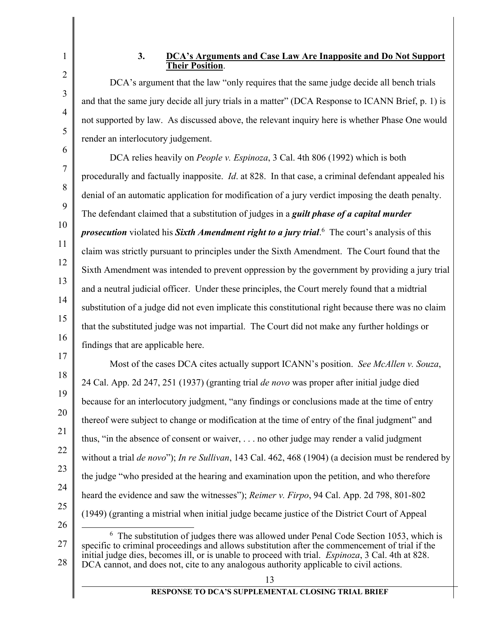1

2

3

4

5

## **3. DCA's Arguments and Case Law Are Inapposite and Do Not Support Their Position**.

DCA's argument that the law "only requires that the same judge decide all bench trials and that the same jury decide all jury trials in a matter" (DCA Response to ICANN Brief, p. 1) is not supported by law. As discussed above, the relevant inquiry here is whether Phase One would render an interlocutory judgement.

6 7 8 9 10 11 12 13 14 15 16 DCA relies heavily on *People v. Espinoza*, 3 Cal. 4th 806 (1992) which is both procedurally and factually inapposite. *Id*. at 828. In that case, a criminal defendant appealed his denial of an automatic application for modification of a jury verdict imposing the death penalty. The defendant claimed that a substitution of judges in a *guilt phase of a capital murder prosecution* violated his *Sixth Amendment right to a jury trial*. 6 The court's analysis of this claim was strictly pursuant to principles under the Sixth Amendment. The Court found that the Sixth Amendment was intended to prevent oppression by the government by providing a jury trial and a neutral judicial officer. Under these principles, the Court merely found that a midtrial substitution of a judge did not even implicate this constitutional right because there was no claim that the substituted judge was not impartial. The Court did not make any further holdings or findings that are applicable here.

17 18 19 20 21 22 23 24 25 26 Most of the cases DCA cites actually support ICANN's position. *See McAllen v. Souza*, 24 Cal. App. 2d 247, 251 (1937) (granting trial *de novo* was proper after initial judge died because for an interlocutory judgment, "any findings or conclusions made at the time of entry thereof were subject to change or modification at the time of entry of the final judgment" and thus, "in the absence of consent or waiver, . . . no other judge may render a valid judgment without a trial *de novo*"); *In re Sullivan*, 143 Cal. 462, 468 (1904) (a decision must be rendered by the judge "who presided at the hearing and examination upon the petition, and who therefore heard the evidence and saw the witnesses"); *Reimer v. Firpo*, 94 Cal. App. 2d 798, 801-802 (1949) (granting a mistrial when initial judge became justice of the District Court of Appeal 6

27 28  $6\text{ The substitution of judges there was allowed under Penal Code Section 1053, which is}$ specific to criminal proceedings and allows substitution after the commencement of trial if the initial judge dies, becomes ill, or is unable to proceed with trial. *Espinoza*, 3 Cal. 4th at 828. DCA cannot, and does not, cite to any analogous authority applicable to civil actions.